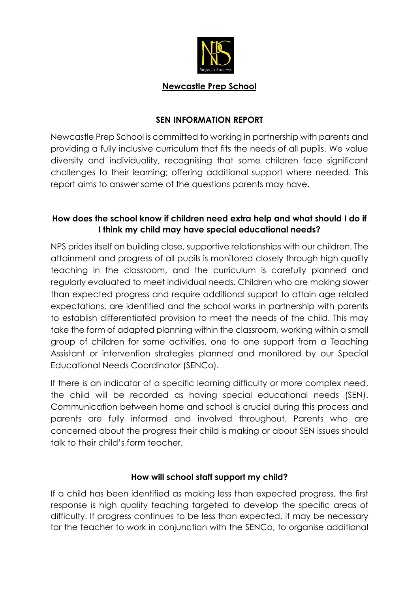

#### **Newcastle Prep School**

### **SEN INFORMATION REPORT**

Newcastle Prep School is committed to working in partnership with parents and providing a fully inclusive curriculum that fits the needs of all pupils. We value diversity and individuality, recognising that some children face significant challenges to their learning; offering additional support where needed. This report aims to answer some of the questions parents may have.

## **How does the school know if children need extra help and what should I do if I think my child may have special educational needs?**

NPS prides itself on building close, supportive relationships with our children. The attainment and progress of all pupils is monitored closely through high quality teaching in the classroom, and the curriculum is carefully planned and regularly evaluated to meet individual needs. Children who are making slower than expected progress and require additional support to attain age related expectations, are identified and the school works in partnership with parents to establish differentiated provision to meet the needs of the child. This may take the form of adapted planning within the classroom, working within a small group of children for some activities, one to one support from a Teaching Assistant or intervention strategies planned and monitored by our Special Educational Needs Coordinator (SENCo).

If there is an indicator of a specific learning difficulty or more complex need, the child will be recorded as having special educational needs (SEN). Communication between home and school is crucial during this process and parents are fully informed and involved throughout. Parents who are concerned about the progress their child is making or about SEN issues should talk to their child's form teacher.

### **How will school staff support my child?**

If a child has been identified as making less than expected progress, the first response is high quality teaching targeted to develop the specific areas of difficulty. If progress continues to be less than expected, it may be necessary for the teacher to work in conjunction with the SENCo, to organise additional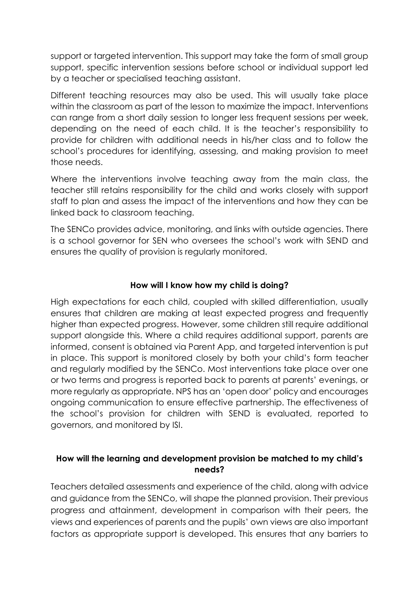support or targeted intervention. This support may take the form of small group support, specific intervention sessions before school or individual support led by a teacher or specialised teaching assistant.

Different teaching resources may also be used. This will usually take place within the classroom as part of the lesson to maximize the impact. Interventions can range from a short daily session to longer less frequent sessions per week, depending on the need of each child. It is the teacher's responsibility to provide for children with additional needs in his/her class and to follow the school's procedures for identifying, assessing, and making provision to meet those needs.

Where the interventions involve teaching away from the main class, the teacher still retains responsibility for the child and works closely with support staff to plan and assess the impact of the interventions and how they can be linked back to classroom teaching.

The SENCo provides advice, monitoring, and links with outside agencies. There is a school governor for SEN who oversees the school's work with SEND and ensures the quality of provision is regularly monitored.

## **How will I know how my child is doing?**

High expectations for each child, coupled with skilled differentiation, usually ensures that children are making at least expected progress and frequently higher than expected progress. However, some children still require additional support alongside this. Where a child requires additional support, parents are informed, consent is obtained via Parent App, and targeted intervention is put in place. This support is monitored closely by both your child's form teacher and regularly modified by the SENCo. Most interventions take place over one or two terms and progress is reported back to parents at parents' evenings, or more regularly as appropriate. NPS has an 'open door' policy and encourages ongoing communication to ensure effective partnership. The effectiveness of the school's provision for children with SEND is evaluated, reported to governors, and monitored by ISI.

## **How will the learning and development provision be matched to my child's needs?**

Teachers detailed assessments and experience of the child, along with advice and guidance from the SENCo, will shape the planned provision. Their previous progress and attainment, development in comparison with their peers, the views and experiences of parents and the pupils' own views are also important factors as appropriate support is developed. This ensures that any barriers to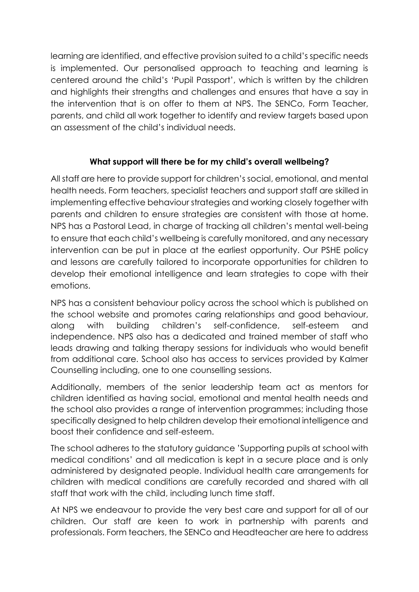learning are identified, and effective provision suited to a child's specific needs is implemented. Our personalised approach to teaching and learning is centered around the child's 'Pupil Passport', which is written by the children and highlights their strengths and challenges and ensures that have a say in the intervention that is on offer to them at NPS. The SENCo, Form Teacher, parents, and child all work together to identify and review targets based upon an assessment of the child's individual needs.

# **What support will there be for my child's overall wellbeing?**

All staff are here to provide support for children's social, emotional, and mental health needs. Form teachers, specialist teachers and support staff are skilled in implementing effective behaviour strategies and working closely together with parents and children to ensure strategies are consistent with those at home. NPS has a Pastoral Lead, in charge of tracking all children's mental well-being to ensure that each child's wellbeing is carefully monitored, and any necessary intervention can be put in place at the earliest opportunity. Our PSHE policy and lessons are carefully tailored to incorporate opportunities for children to develop their emotional intelligence and learn strategies to cope with their emotions.

NPS has a consistent behaviour policy across the school which is published on the school website and promotes caring relationships and good behaviour, along with building children's self-confidence, self-esteem and independence. NPS also has a dedicated and trained member of staff who leads drawing and talking therapy sessions for individuals who would benefit from additional care. School also has access to services provided by Kalmer Counselling including, one to one counselling sessions.

Additionally, members of the senior leadership team act as mentors for children identified as having social, emotional and mental health needs and the school also provides a range of intervention programmes; including those specifically designed to help children develop their emotional intelligence and boost their confidence and self-esteem.

The school adheres to the statutory guidance 'Supporting pupils at school with medical conditions' and all medication is kept in a secure place and is only administered by designated people. Individual health care arrangements for children with medical conditions are carefully recorded and shared with all staff that work with the child, including lunch time staff.

At NPS we endeavour to provide the very best care and support for all of our children. Our staff are keen to work in partnership with parents and professionals. Form teachers, the SENCo and Headteacher are here to address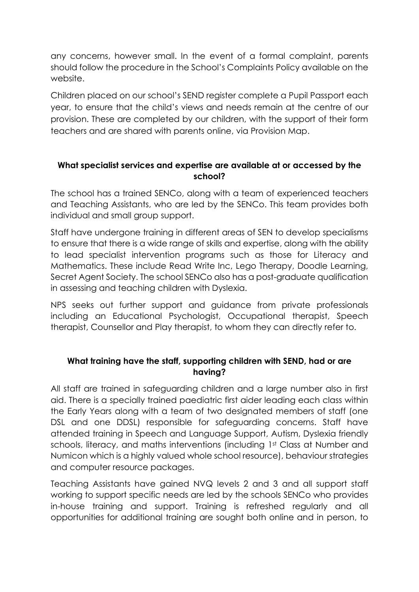any concerns, however small. In the event of a formal complaint, parents should follow the procedure in the School's Complaints Policy available on the website.

Children placed on our school's SEND register complete a Pupil Passport each year, to ensure that the child's views and needs remain at the centre of our provision. These are completed by our children, with the support of their form teachers and are shared with parents online, via Provision Map.

## **What specialist services and expertise are available at or accessed by the school?**

The school has a trained SENCo, along with a team of experienced teachers and Teaching Assistants, who are led by the SENCo. This team provides both individual and small group support.

Staff have undergone training in different areas of SEN to develop specialisms to ensure that there is a wide range of skills and expertise, along with the ability to lead specialist intervention programs such as those for Literacy and Mathematics. These include Read Write Inc, Lego Therapy, Doodle Learning, Secret Agent Society. The school SENCo also has a post-graduate qualification in assessing and teaching children with Dyslexia.

NPS seeks out further support and guidance from private professionals including an Educational Psychologist, Occupational therapist, Speech therapist, Counsellor and Play therapist, to whom they can directly refer to.

# **What training have the staff, supporting children with SEND, had or are having?**

All staff are trained in safeguarding children and a large number also in first aid. There is a specially trained paediatric first aider leading each class within the Early Years along with a team of two designated members of staff (one DSL and one DDSL) responsible for safeguarding concerns. Staff have attended training in Speech and Language Support, Autism, Dyslexia friendly schools, literacy, and maths interventions (including 1st Class at Number and Numicon which is a highly valued whole school resource), behaviour strategies and computer resource packages.

Teaching Assistants have gained NVQ levels 2 and 3 and all support staff working to support specific needs are led by the schools SENCo who provides in-house training and support. Training is refreshed regularly and all opportunities for additional training are sought both online and in person, to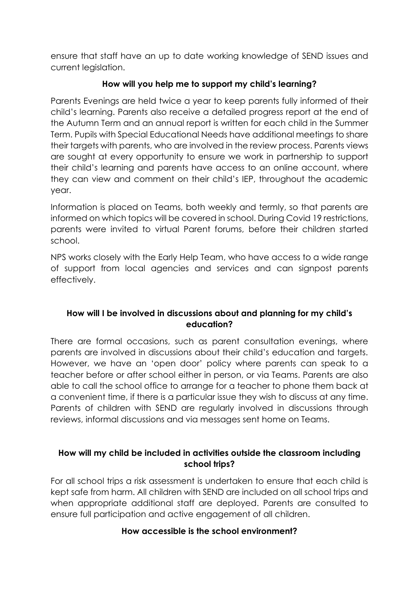ensure that staff have an up to date working knowledge of SEND issues and current legislation.

# **How will you help me to support my child's learning?**

Parents Evenings are held twice a year to keep parents fully informed of their child's learning. Parents also receive a detailed progress report at the end of the Autumn Term and an annual report is written for each child in the Summer Term. Pupils with Special Educational Needs have additional meetings to share their targets with parents, who are involved in the review process. Parents views are sought at every opportunity to ensure we work in partnership to support their child's learning and parents have access to an online account, where they can view and comment on their child's IEP, throughout the academic year.

Information is placed on Teams, both weekly and termly, so that parents are informed on which topics will be covered in school. During Covid 19 restrictions, parents were invited to virtual Parent forums, before their children started school.

NPS works closely with the Early Help Team, who have access to a wide range of support from local agencies and services and can signpost parents effectively.

# **How will I be involved in discussions about and planning for my child's education?**

There are formal occasions, such as parent consultation evenings, where parents are involved in discussions about their child's education and targets. However, we have an 'open door' policy where parents can speak to a teacher before or after school either in person, or via Teams. Parents are also able to call the school office to arrange for a teacher to phone them back at a convenient time, if there is a particular issue they wish to discuss at any time. Parents of children with SEND are regularly involved in discussions through reviews, informal discussions and via messages sent home on Teams.

# **How will my child be included in activities outside the classroom including school trips?**

For all school trips a risk assessment is undertaken to ensure that each child is kept safe from harm. All children with SEND are included on all school trips and when appropriate additional staff are deployed. Parents are consulted to ensure full participation and active engagement of all children.

## **How accessible is the school environment?**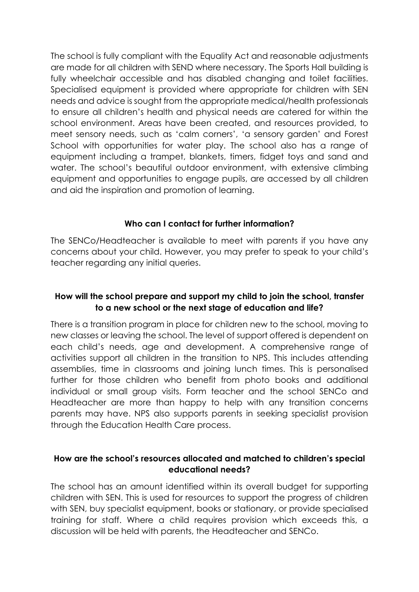The school is fully compliant with the Equality Act and reasonable adjustments are made for all children with SEND where necessary. The Sports Hall building is fully wheelchair accessible and has disabled changing and toilet facilities. Specialised equipment is provided where appropriate for children with SEN needs and advice is sought from the appropriate medical/health professionals to ensure all children's health and physical needs are catered for within the school environment. Areas have been created, and resources provided, to meet sensory needs, such as 'calm corners', 'a sensory garden' and Forest School with opportunities for water play. The school also has a range of equipment including a trampet, blankets, timers, fidget toys and sand and water. The school's beautiful outdoor environment, with extensive climbing equipment and opportunities to engage pupils, are accessed by all children and aid the inspiration and promotion of learning.

## **Who can I contact for further information?**

The SENCo/Headteacher is available to meet with parents if you have any concerns about your child. However, you may prefer to speak to your child's teacher regarding any initial queries.

## **How will the school prepare and support my child to join the school, transfer to a new school or the next stage of education and life?**

There is a transition program in place for children new to the school, moving to new classes or leaving the school. The level of support offered is dependent on each child's needs, age and development. A comprehensive range of activities support all children in the transition to NPS. This includes attending assemblies, time in classrooms and joining lunch times. This is personalised further for those children who benefit from photo books and additional individual or small group visits. Form teacher and the school SENCo and Headteacher are more than happy to help with any transition concerns parents may have. NPS also supports parents in seeking specialist provision through the Education Health Care process.

## **How are the school's resources allocated and matched to children's special educational needs?**

The school has an amount identified within its overall budget for supporting children with SEN. This is used for resources to support the progress of children with SEN, buy specialist equipment, books or stationary, or provide specialised training for staff. Where a child requires provision which exceeds this, a discussion will be held with parents, the Headteacher and SENCo.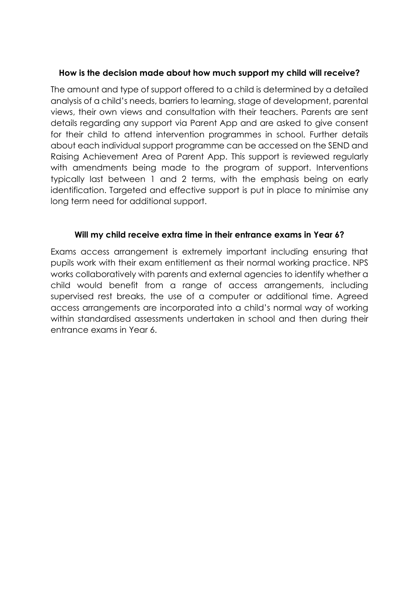### **How is the decision made about how much support my child will receive?**

The amount and type of support offered to a child is determined by a detailed analysis of a child's needs, barriers to learning, stage of development, parental views, their own views and consultation with their teachers. Parents are sent details regarding any support via Parent App and are asked to give consent for their child to attend intervention programmes in school. Further details about each individual support programme can be accessed on the SEND and Raising Achievement Area of Parent App. This support is reviewed regularly with amendments being made to the program of support. Interventions typically last between 1 and 2 terms, with the emphasis being on early identification. Targeted and effective support is put in place to minimise any long term need for additional support.

### **Will my child receive extra time in their entrance exams in Year 6?**

Exams access arrangement is extremely important including ensuring that pupils work with their exam entitlement as their normal working practice. NPS works collaboratively with parents and external agencies to identify whether a child would benefit from a range of access arrangements, including supervised rest breaks, the use of a computer or additional time. Agreed access arrangements are incorporated into a child's normal way of working within standardised assessments undertaken in school and then during their entrance exams in Year 6.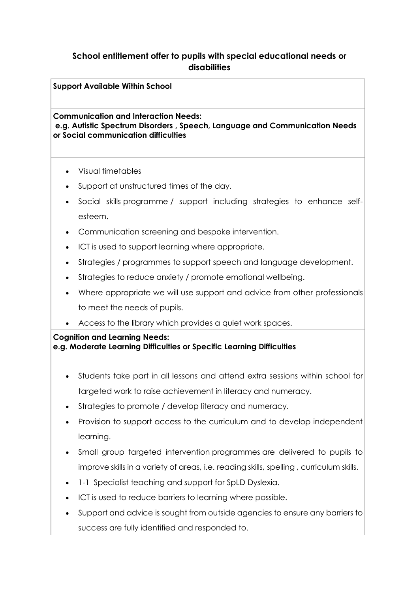## **School entitlement offer to pupils with special educational needs or disabilities**

**Support Available Within School**

**Communication and Interaction Needs: e.g. Autistic Spectrum Disorders , Speech, Language and Communication Needs or Social communication difficulties**

- Visual timetables
- Support at unstructured times of the day.
- Social skills programme / support including strategies to enhance selfesteem.
- Communication screening and bespoke intervention.
- ICT is used to support learning where appropriate.
- Strategies / programmes to support speech and language development.
- Strategies to reduce anxiety / promote emotional wellbeing.
- Where appropriate we will use support and advice from other professionals to meet the needs of pupils.
- Access to the library which provides a quiet work spaces.

### **Cognition and Learning Needs: e.g. Moderate Learning Difficulties or Specific Learning Difficulties**

- Students take part in all lessons and attend extra sessions within school for targeted work to raise achievement in literacy and numeracy.
- Strategies to promote / develop literacy and numeracy.
- Provision to support access to the curriculum and to develop independent learning.
- Small group targeted intervention programmes are delivered to pupils to improve skills in a variety of areas, i.e. reading skills, spelling , curriculum skills.
- 1-1 Specialist teaching and support for SpLD Dyslexia.
- ICT is used to reduce barriers to learning where possible.
- Support and advice is sought from outside agencies to ensure any barriers to success are fully identified and responded to.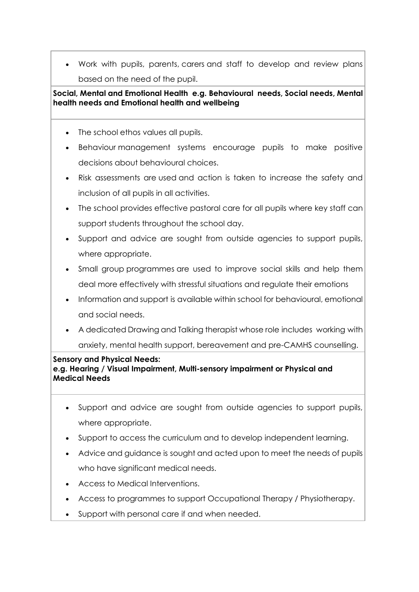• Work with pupils, parents, carers and staff to develop and review plans based on the need of the pupil.

### **Social, Mental and Emotional Health e.g. Behavioural needs, Social needs, Mental health needs and Emotional health and wellbeing**

- The school ethos values all pupils.
- Behaviour management systems encourage pupils to make positive decisions about behavioural choices.
- Risk assessments are used and action is taken to increase the safety and inclusion of all pupils in all activities.
- The school provides effective pastoral care for all pupils where key staff can support students throughout the school day.
- Support and advice are sought from outside agencies to support pupils, where appropriate.
- Small group programmes are used to improve social skills and help them deal more effectively with stressful situations and regulate their emotions
- Information and support is available within school for behavioural, emotional and social needs.
- A dedicated Drawing and Talking therapist whose role includes working with anxiety, mental health support, bereavement and pre-CAMHS counselling.

#### **Sensory and Physical Needs:**

**e.g. Hearing / Visual Impairment, Multi-sensory impairment or Physical and Medical Needs**

- Support and advice are sought from outside agencies to support pupils, where appropriate.
- Support to access the curriculum and to develop independent learning.
- Advice and guidance is sought and acted upon to meet the needs of pupils who have significant medical needs.
- Access to Medical Interventions.
- Access to programmes to support Occupational Therapy / Physiotherapy.
- Support with personal care if and when needed.